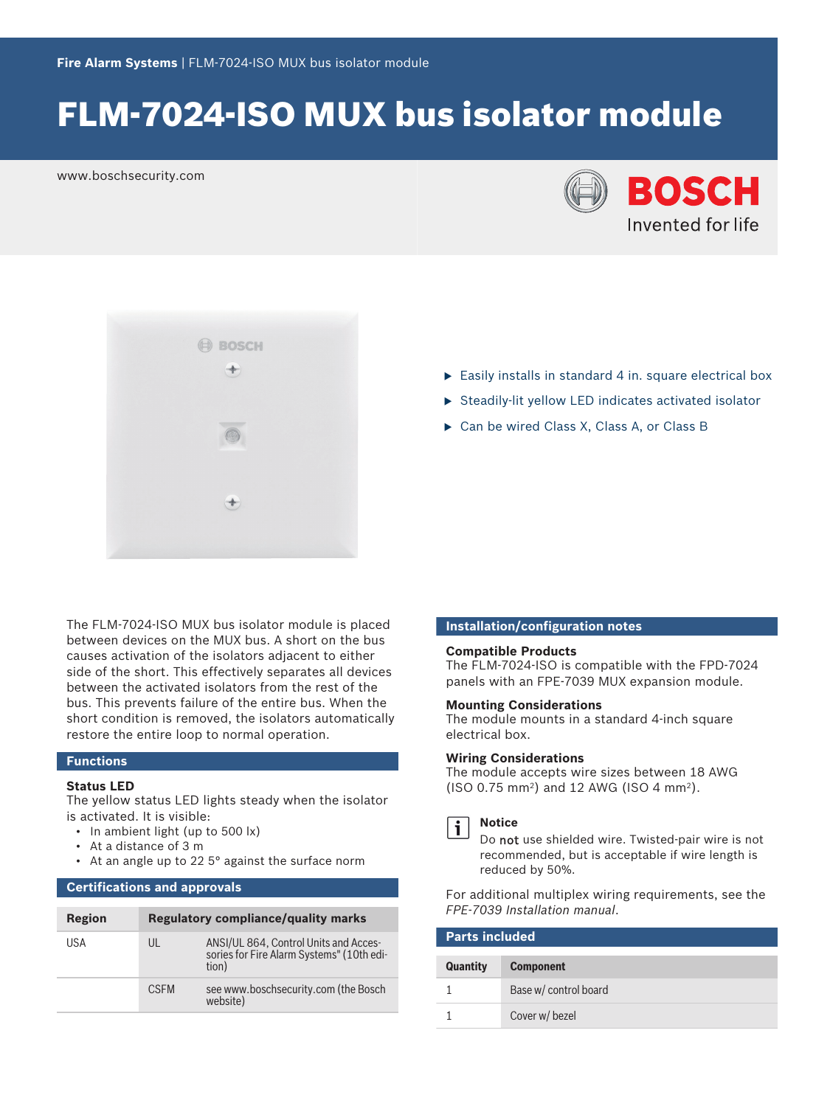# FLM-7024-ISO MUX bus isolator module

www.boschsecurity.com





The FLM-7024-ISO MUX bus isolator module is placed between devices on the MUX bus. A short on the bus causes activation of the isolators adjacent to either side of the short. This effectively separates all devices between the activated isolators from the rest of the bus. This prevents failure of the entire bus. When the short condition is removed, the isolators automatically restore the entire loop to normal operation.

#### **Functions**

#### **Status LED**

The yellow status LED lights steady when the isolator is activated. It is visible:

- In ambient light (up to 500 lx)
- At a distance of 3 m
- At an angle up to 22 5° against the surface norm

#### **Certifications and approvals**

| Region |             | <b>Regulatory compliance/quality marks</b>                                                  |
|--------|-------------|---------------------------------------------------------------------------------------------|
| USA    | UL          | ANSI/UL 864, Control Units and Acces-<br>sories for Fire Alarm Systems" (10th edi-<br>tion) |
|        | <b>CSEM</b> | see www.boschsecurity.com (the Bosch<br>website)                                            |

- $\triangleright$  Easily installs in standard 4 in. square electrical box
- $\triangleright$  Steadily-lit yellow LED indicates activated isolator
- $\triangleright$  Can be wired Class X, Class A, or Class B

#### **Installation/configuration notes**

#### **Compatible Products**

The FLM-7024-ISO is compatible with the FPD-7024 panels with an FPE-7039 MUX expansion module.

#### **Mounting Considerations**

The module mounts in a standard 4‑inch square electrical box.

#### **Wiring Considerations**

The module accepts wire sizes between 18 AWG  $(ISO 0.75 mm<sup>2</sup>)$  and 12 AWG  $(ISO 4 mm<sup>2</sup>)$ .



#### **Notice**

Do not use shielded wire. Twisted-pair wire is not recommended, but is acceptable if wire length is reduced by 50%.

For additional multiplex wiring requirements, see the *FPE-7039 Installation manual*.

| <b>Parts included</b> |                       |
|-----------------------|-----------------------|
| <b>Quantity</b>       | <b>Component</b>      |
|                       | Base w/ control board |
|                       | Cover w/ bezel        |